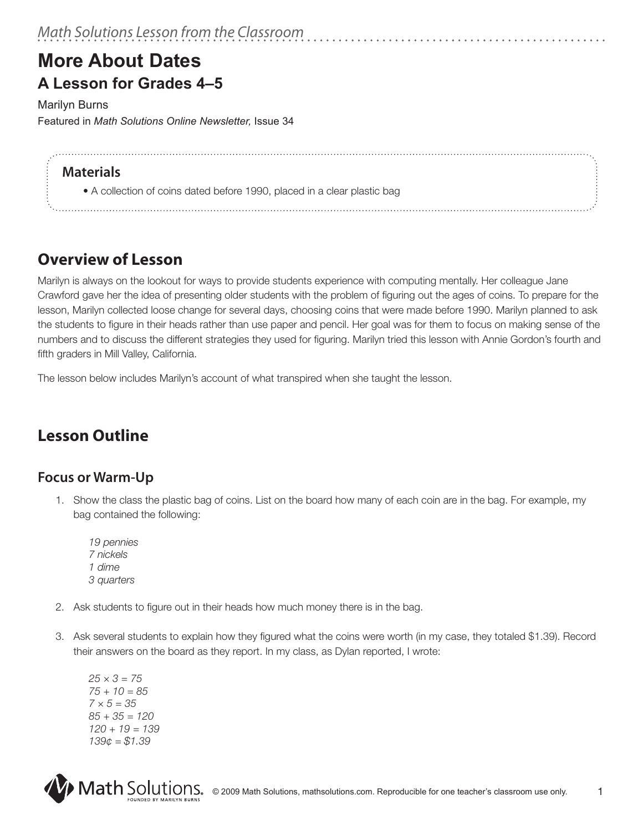# **More About Dates A Lesson for Grades 4–5**

Marilyn Burns Featured in *Math Solutions Online Newsletter,* Issue 34

#### **Materials**

 • A collection of coins dated before 1990, placed in a clear plastic bag

### **Overview of Lesson**

Marilyn is always on the lookout for ways to provide students experience with computing mentally. Her colleague Jane Crawford gave her the idea of presenting older students with the problem of figuring out the ages of coins. To prepare for the lesson, Marilyn collected loose change for several days, choosing coins that were made before 1990. Marilyn planned to ask the students to figure in their heads rather than use paper and pencil. Her goal was for them to focus on making sense of the numbers and to discuss the different strategies they used for figuring. Marilyn tried this lesson with Annie Gordon's fourth and fifth graders in Mill Valley, California.

The lesson below includes Marilyn's account of what transpired when she taught the lesson.

# **Lesson Outline**

#### **Focus or Warm-Up**

- 1. Show the class the plastic bag of coins. List on the board how many of each coin are in the bag. For example, my bag contained the following:
	- *19 pennies 7 nickels 1 dime 3 quarters*
- 2. Ask students to figure out in their heads how much money there is in the bag.
- 3. Ask several students to explain how they figured what the coins were worth (in my case, they totaled \$1.39). Record their answers on the board as they report. In my class, as Dylan reported, I wrote:

*25 × 3 = 75 75 + 10 = 85 7 × 5 = 35 85 + 35 = 120 120 + 19 = 139 139¢ = \$1.39*

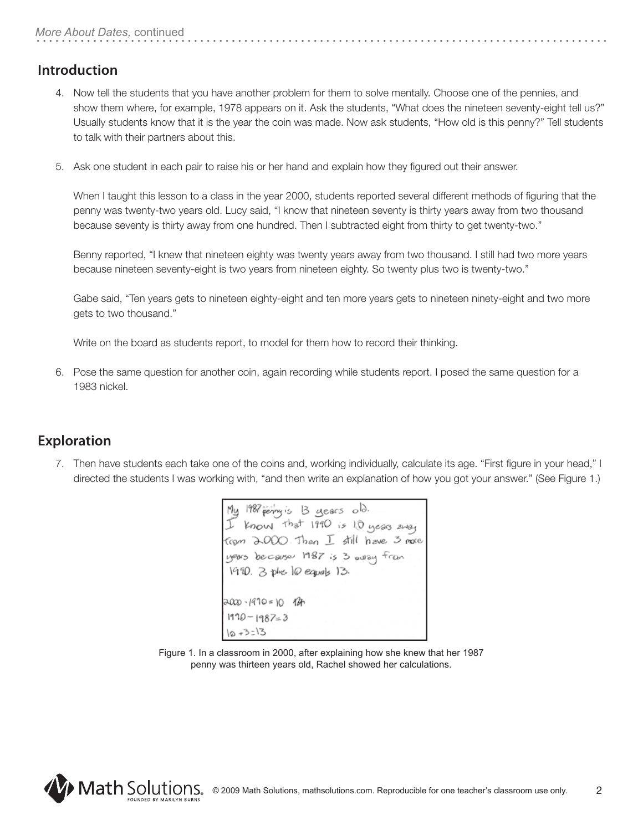#### **Introduction**

- 4. Now tell the students that you have another problem for them to solve mentally. Choose one of the pennies, and show them where, for example, 1978 appears on it. Ask the students, "What does the nineteen seventy-eight tell us?" Usually students know that it is the year the coin was made. Now ask students, "How old is this penny?" Tell students to talk with their partners about this.
- 5. Ask one student in each pair to raise his or her hand and explain how they figured out their answer.

When I taught this lesson to a class in the year 2000, students reported several different methods of figuring that the penny was twenty-two years old. Lucy said, "I know that nineteen seventy is thirty years away from two thousand because seventy is thirty away from one hundred. Then I subtracted eight from thirty to get twenty-two."

Benny reported, "I knew that nineteen eighty was twenty years away from two thousand. I still had two more years because nineteen seventy-eight is two years from nineteen eighty. So twenty plus two is twenty-two."

Gabe said, "Ten years gets to nineteen eighty-eight and ten more years gets to nineteen ninety-eight and two more gets to two thousand."

Write on the board as students report, to model for them how to record their thinking.

6. Pose the same question for another coin, again recording while students report. I posed the same question for a 1983 nickel.

#### **Exploration**

7. Then have students each take one of the coins and, working individually, calculate its age. "First figure in your head," I directed the students I was working with, "and then write an explanation of how you got your answer." (See Figure 1.)

My 1987 peny's B gears old.<br>I know that 1990 is 10 years away from 2000 Then I still have 3 more years because 1987 is 3 oway from 1990. 3 plus 10 equals 13.  $2000 - 1970 = 10$  12h  $1990 - 1987 = 3$  $10 + 3 = 13$ 

Figure 1. In a classroom in 2000, after explaining how she knew that her 1987 penny was thirteen years old, Rachel showed her calculations.